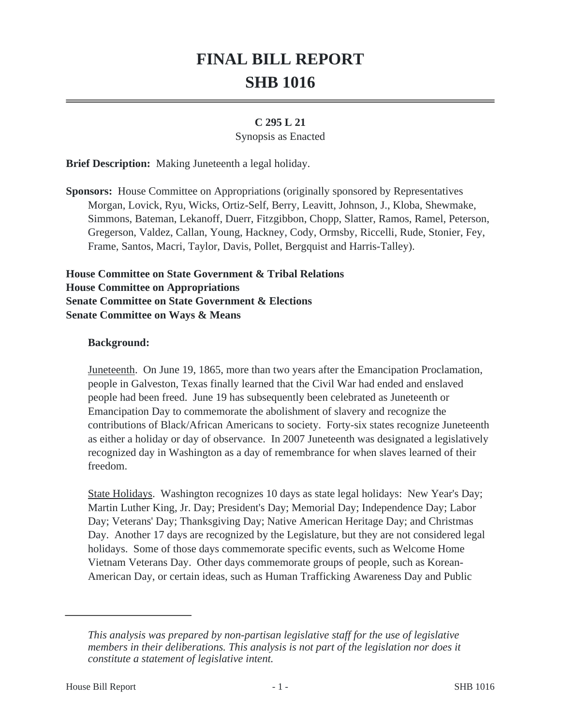# **FINAL BILL REPORT SHB 1016**

#### **C 295 L 21**

#### Synopsis as Enacted

**Brief Description:** Making Juneteenth a legal holiday.

**Sponsors:** House Committee on Appropriations (originally sponsored by Representatives Morgan, Lovick, Ryu, Wicks, Ortiz-Self, Berry, Leavitt, Johnson, J., Kloba, Shewmake, Simmons, Bateman, Lekanoff, Duerr, Fitzgibbon, Chopp, Slatter, Ramos, Ramel, Peterson, Gregerson, Valdez, Callan, Young, Hackney, Cody, Ormsby, Riccelli, Rude, Stonier, Fey, Frame, Santos, Macri, Taylor, Davis, Pollet, Bergquist and Harris-Talley).

**House Committee on State Government & Tribal Relations House Committee on Appropriations Senate Committee on State Government & Elections Senate Committee on Ways & Means**

#### **Background:**

Juneteenth. On June 19, 1865, more than two years after the Emancipation Proclamation, people in Galveston, Texas finally learned that the Civil War had ended and enslaved people had been freed. June 19 has subsequently been celebrated as Juneteenth or Emancipation Day to commemorate the abolishment of slavery and recognize the contributions of Black/African Americans to society. Forty-six states recognize Juneteenth as either a holiday or day of observance. In 2007 Juneteenth was designated a legislatively recognized day in Washington as a day of remembrance for when slaves learned of their freedom.

State Holidays. Washington recognizes 10 days as state legal holidays: New Year's Day; Martin Luther King, Jr. Day; President's Day; Memorial Day; Independence Day; Labor Day; Veterans' Day; Thanksgiving Day; Native American Heritage Day; and Christmas Day. Another 17 days are recognized by the Legislature, but they are not considered legal holidays. Some of those days commemorate specific events, such as Welcome Home Vietnam Veterans Day. Other days commemorate groups of people, such as Korean-American Day, or certain ideas, such as Human Trafficking Awareness Day and Public

*This analysis was prepared by non-partisan legislative staff for the use of legislative members in their deliberations. This analysis is not part of the legislation nor does it constitute a statement of legislative intent.*